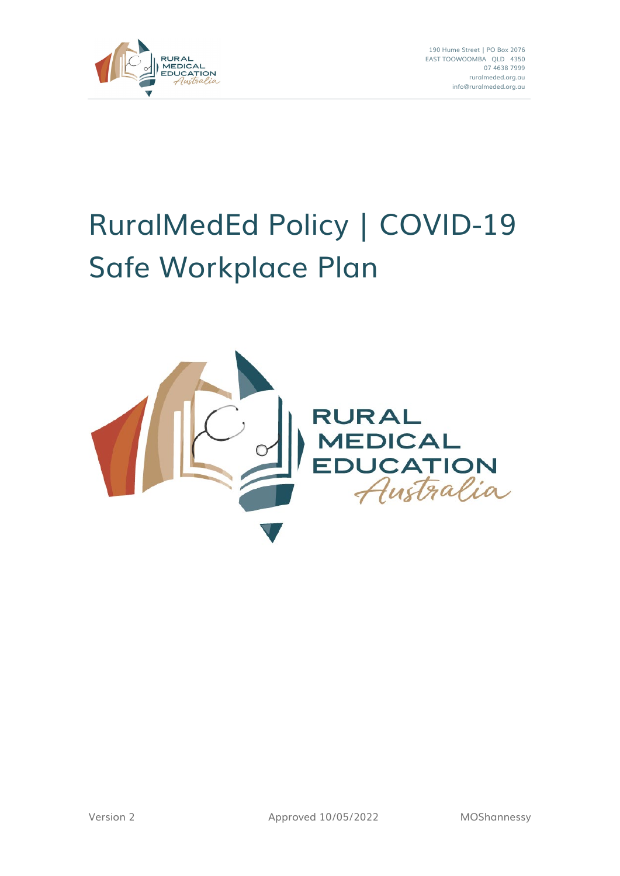

190 Hume Street | PO Box 2076 EAST TOOWOOMBA QLD 4350 07 4638 7999 ruralmeded.org.au info@ruralmeded.org.au

# RuralMedEd Policy | COVID-19 Safe Workplace Plan

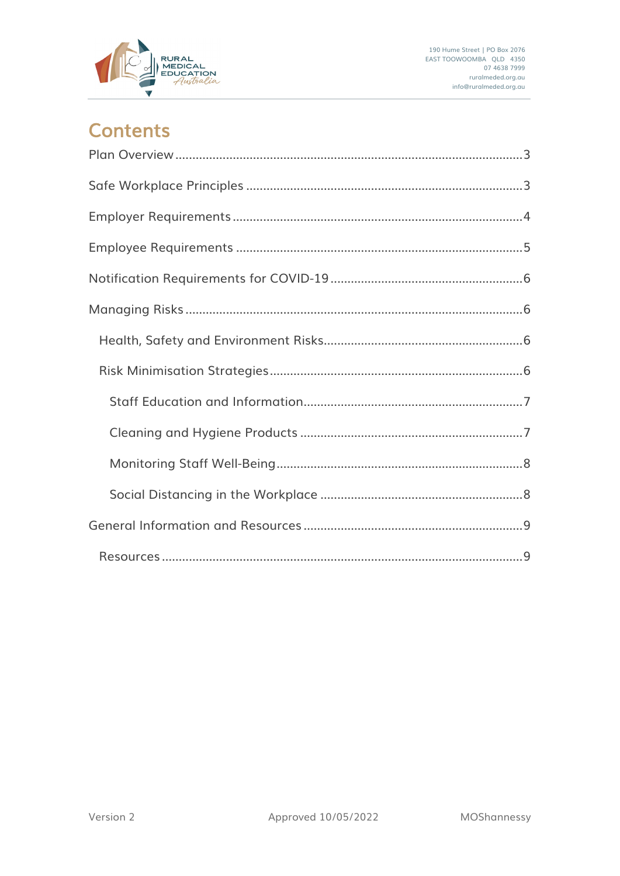

### **Contents**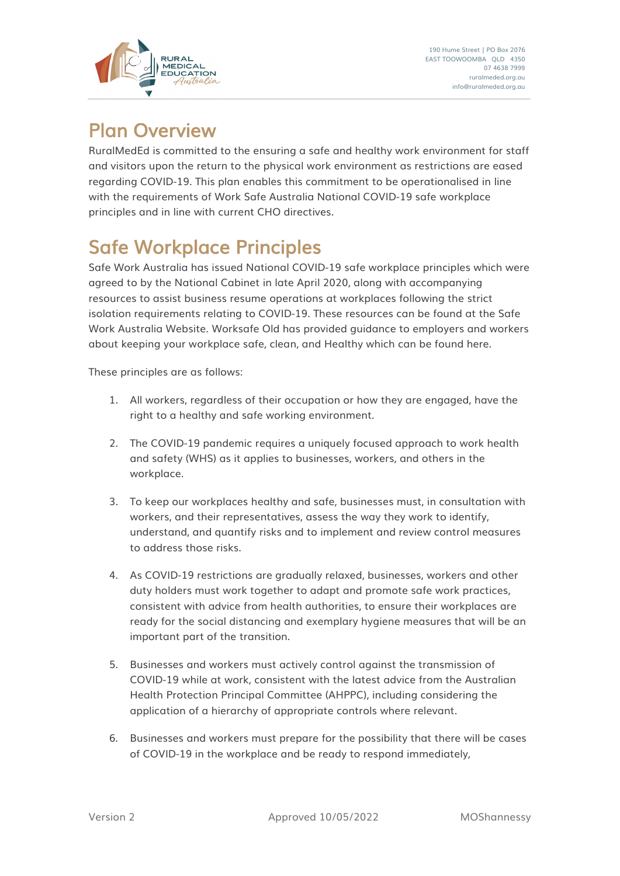

<span id="page-2-0"></span>Plan Overview<br>RuralMedEd is committed to the ensuring a safe and healthy work environment for staff and visitors upon the return to the physical work environment as restrictions are eased regarding COVID-19. This plan enables this commitment to be operationalised in line with the requirements of Work Safe Australia National COVID-19 safe workplace principles and in line with current CHO directives.

<span id="page-2-1"></span>Safe Workplace Principles<br>Safe Work Australia has issued National COVID-19 safe workplace principles which were agreed to by the National Cabinet in late April 2020, along with accompanying resources to assist business resume operations at workplaces following the strict isolation requirements relating to COVID-19. These resources can be found at the Safe Work Australia Website. Worksafe Old has provided guidance to employers and workers about keeping your workplace safe, clean, and Healthy which can be found here.

These principles are as follows:

- 1. All workers, regardless of their occupation or how they are engaged, have the right to a healthy and safe working environment.
- 2. The COVID-19 pandemic requires a uniquely focused approach to work health and safety (WHS) as it applies to businesses, workers, and others in the workplace.
- 3. To keep our workplaces healthy and safe, businesses must, in consultation with workers, and their representatives, assess the way they work to identify, understand, and quantify risks and to implement and review control measures to address those risks.
- 4. As COVID-19 restrictions are gradually relaxed, businesses, workers and other duty holders must work together to adapt and promote safe work practices, consistent with advice from health authorities, to ensure their workplaces are ready for the social distancing and exemplary hygiene measures that will be an important part of the transition.
- 5. Businesses and workers must actively control against the transmission of COVID-19 while at work, consistent with the latest advice from the Australian Health Protection Principal Committee (AHPPC), including considering the application of a hierarchy of appropriate controls where relevant.
- 6. Businesses and workers must prepare for the possibility that there will be cases of COVID-19 in the workplace and be ready to respond immediately,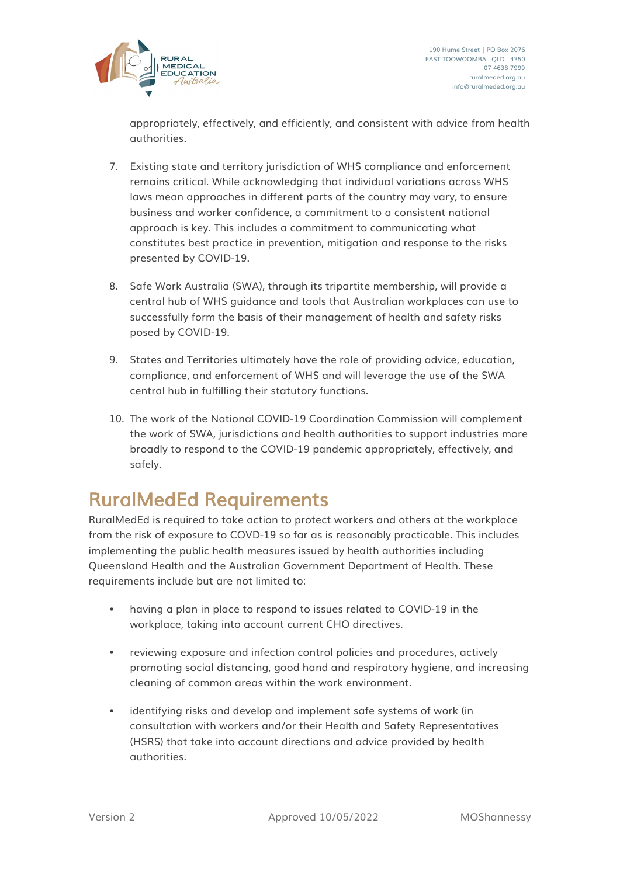

appropriately, effectively, and efficiently, and consistent with advice from health authorities.

- 7. Existing state and territory jurisdiction of WHS compliance and enforcement remains critical. While acknowledging that individual variations across WHS laws mean approaches in different parts of the country may vary, to ensure business and worker confidence, a commitment to a consistent national approach is key. This includes a commitment to communicating what constitutes best practice in prevention, mitigation and response to the risks presented by COVID-19.
- 8. Safe Work Australia (SWA), through its tripartite membership, will provide a central hub of WHS guidance and tools that Australian workplaces can use to successfully form the basis of their management of health and safety risks posed by COVID-19.
- 9. States and Territories ultimately have the role of providing advice, education, compliance, and enforcement of WHS and will leverage the use of the SWA central hub in fulfilling their statutory functions.
- 10. The work of the National COVID-19 Coordination Commission will complement the work of SWA, jurisdictions and health authorities to support industries more broadly to respond to the COVID-19 pandemic appropriately, effectively, and safely.

# <span id="page-3-0"></span>RuralMedEd Requirements<br>RuralMedEd is required to take action to protect workers and others at the workplace

from the risk of exposure to COVD-19 so far as is reasonably practicable. This includes implementing the public health measures issued by health authorities including Queensland Health and the Australian Government Department of Health. These requirements include but are not limited to:

- having a plan in place to respond to issues related to COVID-19 in the workplace, taking into account current CHO directives.
- reviewing exposure and infection control policies and procedures, actively promoting social distancing, good hand and respiratory hygiene, and increasing cleaning of common areas within the work environment.
- identifying risks and develop and implement safe systems of work (in consultation with workers and/or their Health and Safety Representatives (HSRS) that take into account directions and advice provided by health authorities.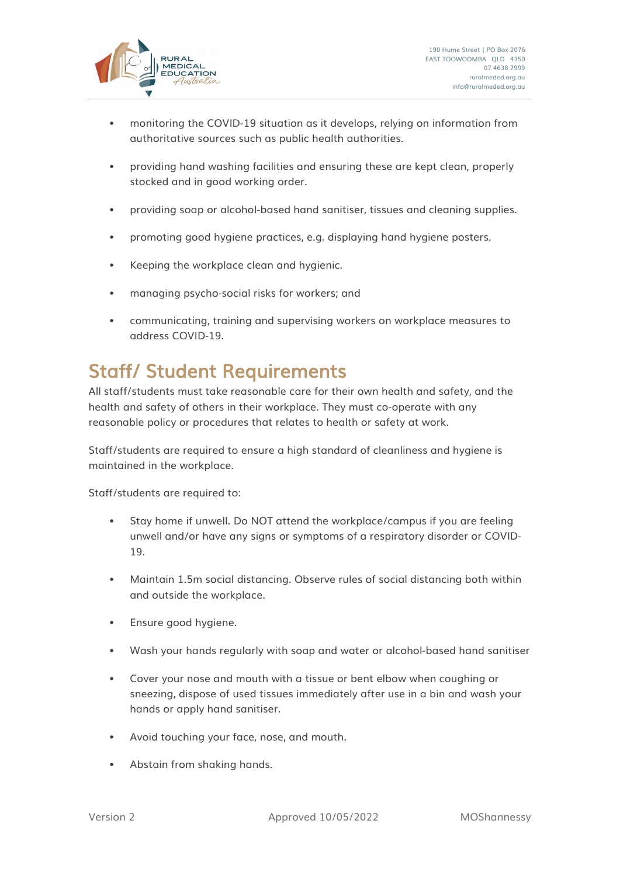

- monitoring the COVID-19 situation as it develops, relying on information from authoritative sources such as public health authorities.
- providing hand washing facilities and ensuring these are kept clean, properly stocked and in good working order.
- providing soap or alcohol-based hand sanitiser, tissues and cleaning supplies.
- promoting good hygiene practices, e.g. displaying hand hygiene posters.
- Keeping the workplace clean and hygienic.
- managing psycho-social risks for workers; and
- communicating, training and supervising workers on workplace measures to address COVID-19.

## <span id="page-4-0"></span>Staff/ Student Requirements<br>All staff/students must take reasonable care for their own health and safety, and the

health and safety of others in their workplace. They must co-operate with any reasonable policy or procedures that relates to health or safety at work.

Staff/students are required to ensure a high standard of cleanliness and hygiene is maintained in the workplace.

Staff/students are required to:

- Stay home if unwell. Do NOT attend the workplace/campus if you are feeling unwell and/or have any signs or symptoms of a respiratory disorder or COVID-19.
- Maintain 1.5m social distancing. Observe rules of social distancing both within and outside the workplace.
- Ensure good hygiene.
- Wash your hands regularly with soap and water or alcohol-based hand sanitiser
- Cover your nose and mouth with a tissue or bent elbow when coughing or sneezing, dispose of used tissues immediately after use in a bin and wash your hands or apply hand sanitiser.
- Avoid touching your face, nose, and mouth.
- Abstain from shaking hands.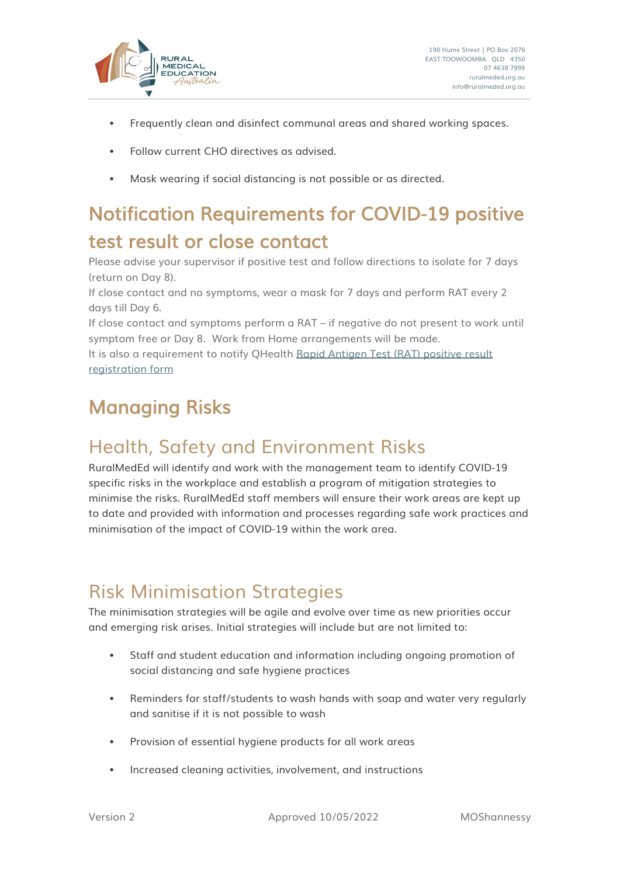

- Frequently clean and disinfect communal areas and shared working spaces.
- Follow current CHO directives as advised.
- Mask wearing if social distancing is not possible or as directed.

## <span id="page-5-0"></span>Notification Requirements for COVID-19 positive test result or close contact<br>Please advise your supervisor if positive test and follow directions to isolate for 7 days

(return on Day 8).

If close contact and no symptoms, wear a mask for 7 days and perform RAT every 2 days till Day 6.

If close contact and symptoms perform a RAT – if negative do not present to work until symptom free or Day 8. Work from Home arrangements will be made.

It is also a requirement to notify QHealth [Rapid Antigen Test \(RAT\)](https://www.qld.gov.au/rat-positive) positive result [registration form](https://www.qld.gov.au/rat-positive)

## <span id="page-5-1"></span>Managing Risks

### <span id="page-5-2"></span>Health, Safety and Environment Risks

RuralMedEd will identify and work with the management team to identify COVID-19 specific risks in the workplace and establish a program of mitigation strategies to minimise the risks. RuralMedEd staff members will ensure their work areas are kept up to date and provided with information and processes regarding safe work practices and minimisation of the impact of COVID-19 within the work area.

### <span id="page-5-3"></span>Risk Minimisation Strategies

The minimisation strategies will be agile and evolve over time as new priorities occur and emerging risk arises. Initial strategies will include but are not limited to:

- Staff and student education and information including ongoing promotion of social distancing and safe hygiene practices
- Reminders for staff/students to wash hands with soap and water very regularly and sanitise if it is not possible to wash
- Provision of essential hygiene products for all work areas
- Increased cleaning activities, involvement, and instructions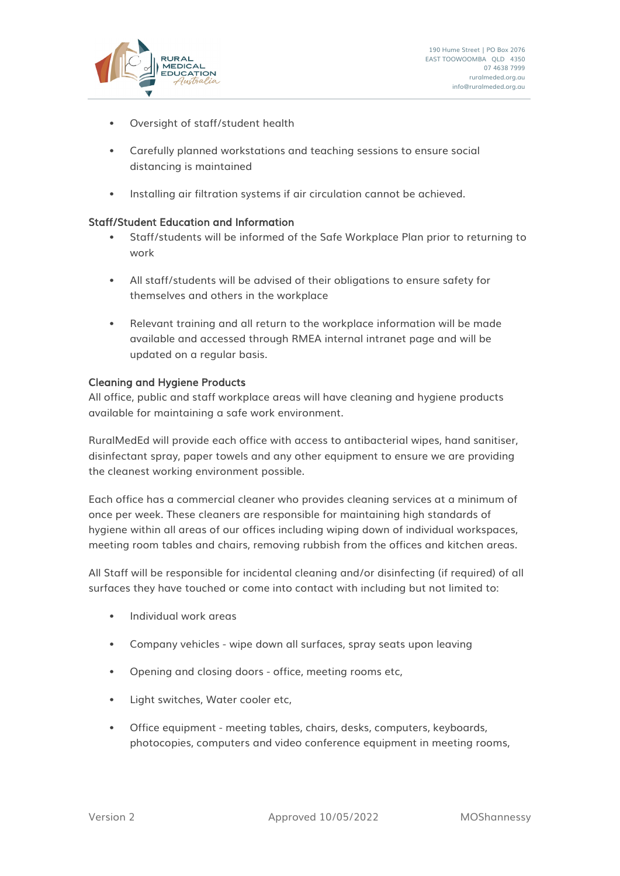

- Oversight of staff/student health
- Carefully planned workstations and teaching sessions to ensure social distancing is maintained
- Installing air filtration systems if air circulation cannot be achieved.

### <span id="page-6-0"></span>Staff/Student Education and Information

- Staff/students will be informed of the Safe Workplace Plan prior to returning to work
- All staff/students will be advised of their obligations to ensure safety for themselves and others in the workplace
- Relevant training and all return to the workplace information will be made available and accessed through RMEA internal intranet page and will be updated on a regular basis.

### <span id="page-6-1"></span>Cleaning and Hygiene Products

All office, public and staff workplace areas will have cleaning and hygiene products available for maintaining a safe work environment.

RuralMedEd will provide each office with access to antibacterial wipes, hand sanitiser, disinfectant spray, paper towels and any other equipment to ensure we are providing the cleanest working environment possible.

Each office has a commercial cleaner who provides cleaning services at a minimum of once per week. These cleaners are responsible for maintaining high standards of hygiene within all areas of our offices including wiping down of individual workspaces, meeting room tables and chairs, removing rubbish from the offices and kitchen areas.

All Staff will be responsible for incidental cleaning and/or disinfecting (if required) of all surfaces they have touched or come into contact with including but not limited to:

- Individual work areas
- Company vehicles wipe down all surfaces, spray seats upon leaving
- Opening and closing doors office, meeting rooms etc,
- Light switches, Water cooler etc,
- Office equipment meeting tables, chairs, desks, computers, keyboards, photocopies, computers and video conference equipment in meeting rooms,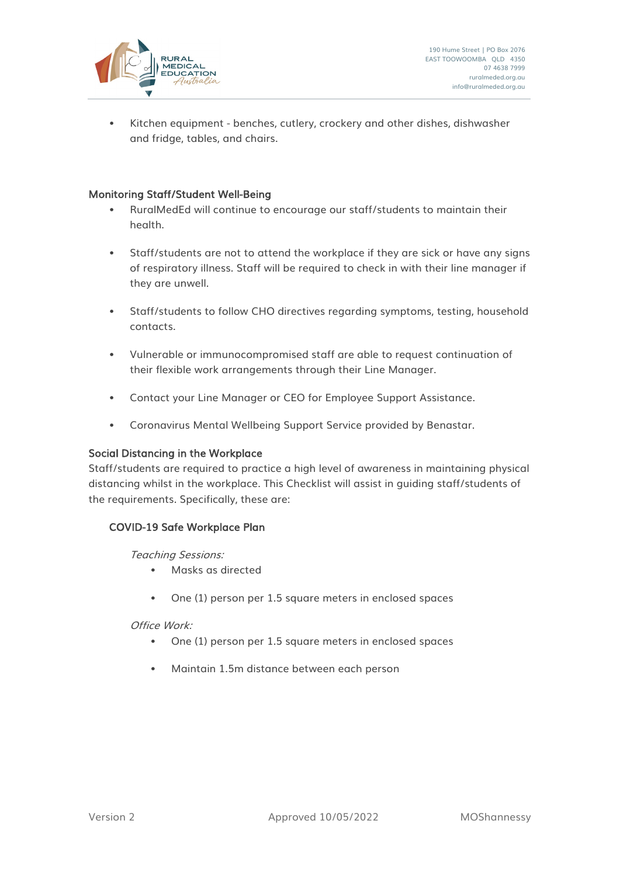

• Kitchen equipment - benches, cutlery, crockery and other dishes, dishwasher and fridge, tables, and chairs.

### <span id="page-7-0"></span>Monitoring Staff/Student Well-Being

- RuralMedEd will continue to encourage our staff/students to maintain their health.
- Staff/students are not to attend the workplace if they are sick or have any signs of respiratory illness. Staff will be required to check in with their line manager if they are unwell.
- Staff/students to follow CHO directives regarding symptoms, testing, household contacts.
- Vulnerable or immunocompromised staff are able to request continuation of their flexible work arrangements through their Line Manager.
- Contact your Line Manager or CEO for Employee Support Assistance.
- Coronavirus Mental Wellbeing Support Service provided by Benastar.

### <span id="page-7-1"></span>Social Distancing in the Workplace

Staff/students are required to practice a high level of awareness in maintaining physical distancing whilst in the workplace. This Checklist will assist in guiding staff/students of the requirements. Specifically, these are:

### COVID-19 Safe Workplace Plan

Teaching Sessions:

- Masks as directed
- One (1) person per 1.5 square meters in enclosed spaces

Office Work:

- One (1) person per 1.5 square meters in enclosed spaces
- Maintain 1.5m distance between each person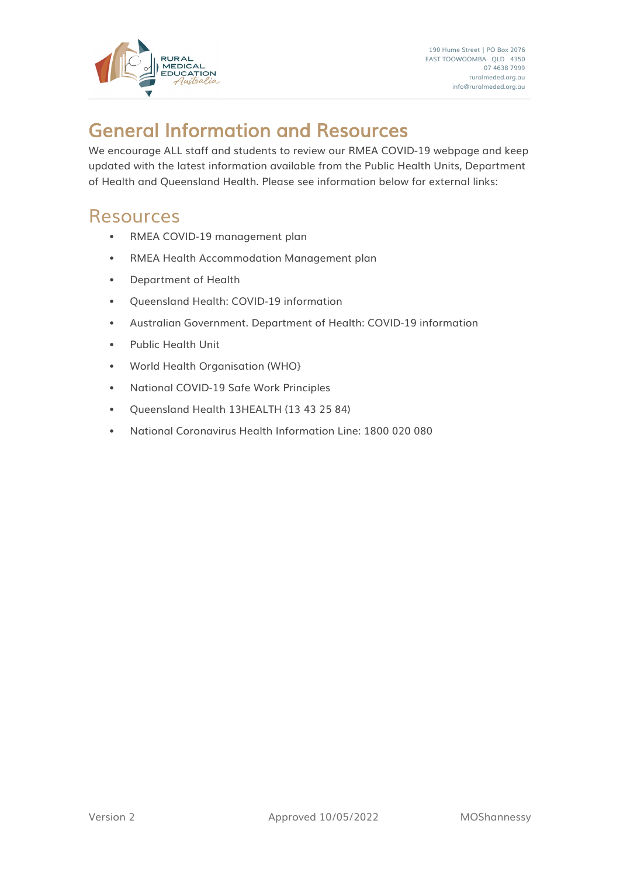

# <span id="page-8-0"></span>General Information and Resources<br>We encourage ALL staff and students to review our RMEA COVID-19 webpage and keep

updated with the latest information available from the Public Health Units, Department of Health and Queensland Health. Please see information below for external links:

### <span id="page-8-1"></span>Resources

- RMEA COVID-19 management plan
- RMEA Health Accommodation Management plan
- Department of Health
- Queensland Health: COVID-19 information
- Australian Government. Department of Health: COVID-19 information
- Public Health Unit
- World Health Organisation (WHO}
- National COVID-19 Safe Work Principles
- Queensland Health 13HEALTH (13 43 25 84)
- National Coronavirus Health Information Line: 1800 020 080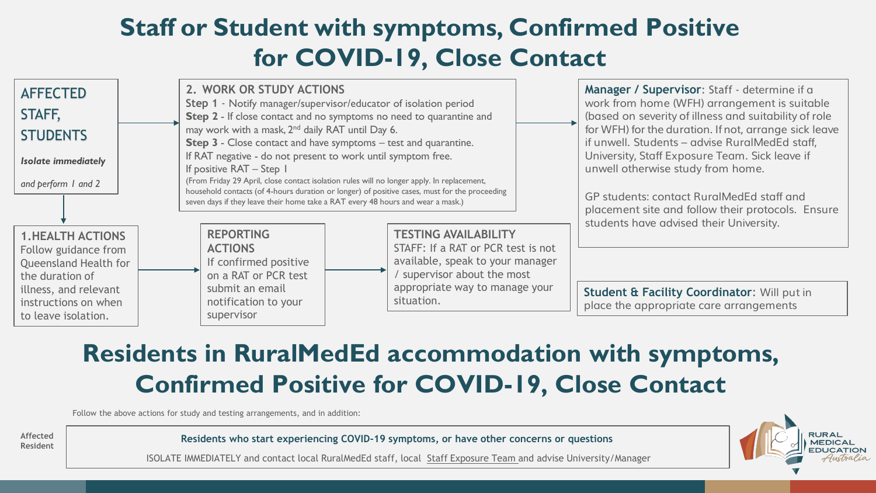## **Staff or Student with symptoms, Confirmed Positive for COVID-19, Close Contact**



## **Residents in RuralMedEd accommodation with symptoms, Confirmed Positive for COVID-19, Close Contact**

Follow the above actions for study and testing arrangements, and in addition:



**Resident Residents who start experiencing COVID-19 symptoms, or have other concerns or questions**

ISOLATE IMMEDIATELY and contact local RuralMedEd staff, local Staff Exposure Team and advise University/Manager